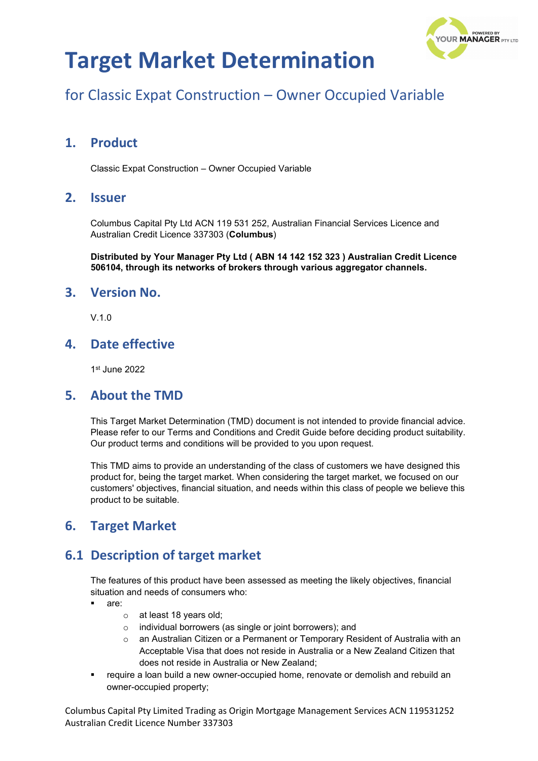

## for Classic Expat Construction – Owner Occupied Variable

## **1. Product**

Classic Expat Construction – Owner Occupied Variable

#### **2. Issuer**

Columbus Capital Pty Ltd ACN 119 531 252, Australian Financial Services Licence and Australian Credit Licence 337303 (**Columbus**)

**Distributed by Your Manager Pty Ltd ( ABN 14 142 152 323 ) Australian Credit Licence 506104, through its networks of brokers through various aggregator channels.**

#### **3. Version No.**

 $V<sub>10</sub>$ 

### **4. Date effective**

1st June 2022

#### **5. About the TMD**

This Target Market Determination (TMD) document is not intended to provide financial advice. Please refer to our Terms and Conditions and Credit Guide before deciding product suitability. Our product terms and conditions will be provided to you upon request.

This TMD aims to provide an understanding of the class of customers we have designed this product for, being the target market. When considering the target market, we focused on our customers' objectives, financial situation, and needs within this class of people we believe this product to be suitable.

### **6. Target Market**

### **6.1 Description of target market**

The features of this product have been assessed as meeting the likely objectives, financial situation and needs of consumers who:

- are:
	- o at least 18 years old;
	- o individual borrowers (as single or joint borrowers); and
	- o an Australian Citizen or a Permanent or Temporary Resident of Australia with an Acceptable Visa that does not reside in Australia or a New Zealand Citizen that does not reside in Australia or New Zealand;
- require a loan build a new owner-occupied home, renovate or demolish and rebuild an owner-occupied property;

Columbus Capital Pty Limited Trading as Origin Mortgage Management Services ACN 119531252 Australian Credit Licence Number 337303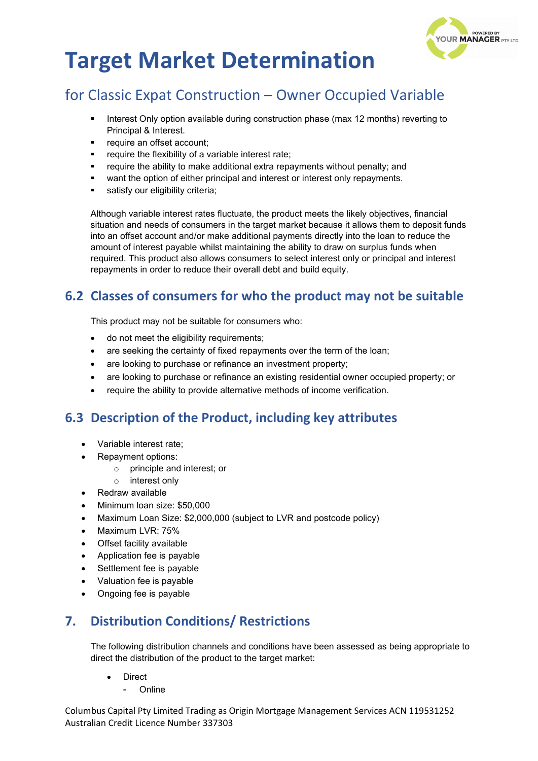

## for Classic Expat Construction – Owner Occupied Variable

- Interest Only option available during construction phase (max 12 months) reverting to Principal & Interest.
- require an offset account;
- require the flexibility of a variable interest rate;
- require the ability to make additional extra repayments without penalty; and
- want the option of either principal and interest or interest only repayments.
- satisfy our eligibility criteria;

Although variable interest rates fluctuate, the product meets the likely objectives, financial situation and needs of consumers in the target market because it allows them to deposit funds into an offset account and/or make additional payments directly into the loan to reduce the amount of interest payable whilst maintaining the ability to draw on surplus funds when required. This product also allows consumers to select interest only or principal and interest repayments in order to reduce their overall debt and build equity.

## **6.2 Classes of consumers for who the product may not be suitable**

This product may not be suitable for consumers who:

- do not meet the eligibility requirements;
- are seeking the certainty of fixed repayments over the term of the loan;
- are looking to purchase or refinance an investment property;
- are looking to purchase or refinance an existing residential owner occupied property; or
- require the ability to provide alternative methods of income verification.

### **6.3 Description of the Product, including key attributes**

- Variable interest rate;
- Repayment options:
	- o principle and interest; or
	- o interest only
- Redraw available
- Minimum loan size: \$50,000
- Maximum Loan Size: \$2,000,000 (subject to LVR and postcode policy)
- Maximum LVR: 75%
- Offset facility available
- Application fee is payable
- Settlement fee is payable
- Valuation fee is payable
- Ongoing fee is payable

## **7. Distribution Conditions/ Restrictions**

The following distribution channels and conditions have been assessed as being appropriate to direct the distribution of the product to the target market:

- **Direct** 
	- **Online**

Columbus Capital Pty Limited Trading as Origin Mortgage Management Services ACN 119531252 Australian Credit Licence Number 337303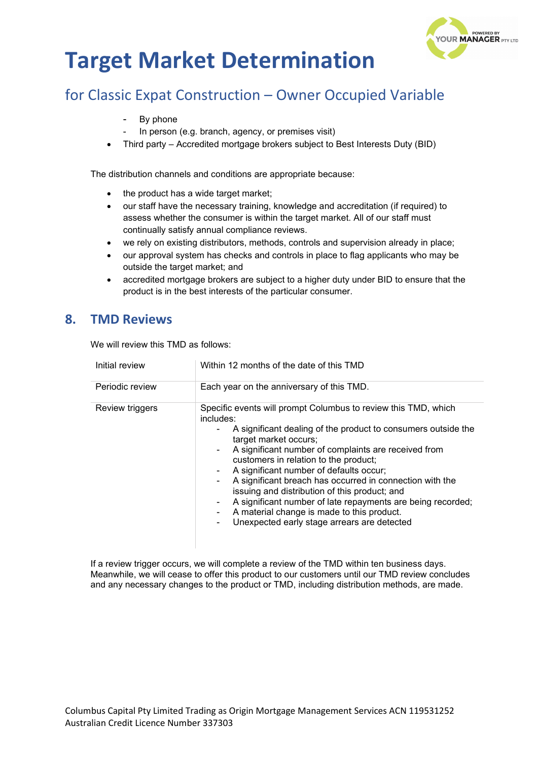

## for Classic Expat Construction – Owner Occupied Variable

- By phone
- In person (e.g. branch, agency, or premises visit)
- Third party Accredited mortgage brokers subject to Best Interests Duty (BID)

The distribution channels and conditions are appropriate because:

- the product has a wide target market;
- our staff have the necessary training, knowledge and accreditation (if required) to assess whether the consumer is within the target market. All of our staff must continually satisfy annual compliance reviews.
- we rely on existing distributors, methods, controls and supervision already in place;
- our approval system has checks and controls in place to flag applicants who may be outside the target market; and
- accredited mortgage brokers are subject to a higher duty under BID to ensure that the product is in the best interests of the particular consumer.

#### **8. TMD Reviews**

We will review this TMD as follows:

| Initial review  | Within 12 months of the date of this TMD                                                                                                                                                                                                                                                                                                                                                                                                                                                                                                                                                   |
|-----------------|--------------------------------------------------------------------------------------------------------------------------------------------------------------------------------------------------------------------------------------------------------------------------------------------------------------------------------------------------------------------------------------------------------------------------------------------------------------------------------------------------------------------------------------------------------------------------------------------|
| Periodic review | Each year on the anniversary of this TMD.                                                                                                                                                                                                                                                                                                                                                                                                                                                                                                                                                  |
| Review triggers | Specific events will prompt Columbus to review this TMD, which<br>includes:<br>A significant dealing of the product to consumers outside the<br>target market occurs;<br>A significant number of complaints are received from<br>customers in relation to the product;<br>A significant number of defaults occur;<br>A significant breach has occurred in connection with the<br>issuing and distribution of this product; and<br>A significant number of late repayments are being recorded;<br>A material change is made to this product.<br>Unexpected early stage arrears are detected |

If a review trigger occurs, we will complete a review of the TMD within ten business days. Meanwhile, we will cease to offer this product to our customers until our TMD review concludes and any necessary changes to the product or TMD, including distribution methods, are made.